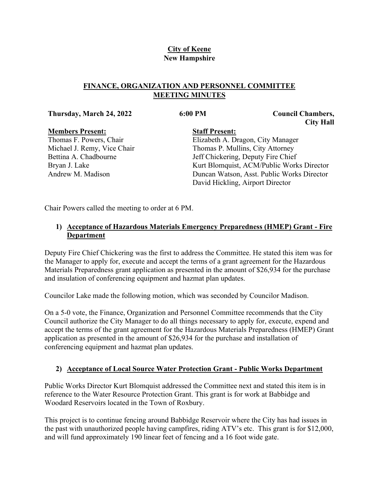# **City of Keene New Hampshire**

## **FINANCE, ORGANIZATION AND PERSONNEL COMMITTEE MEETING MINUTES**

#### **Thursday, March 24, 2022 6:00 PM Council Chambers,**

**City Hall**

#### **Members Present:** Thomas F. Powers, Chair Michael J. Remy, Vice Chair Bettina A. Chadbourne Bryan J. Lake Andrew M. Madison

**Staff Present:** Elizabeth A. Dragon, City Manager Thomas P. Mullins, City Attorney Jeff Chickering, Deputy Fire Chief Kurt Blomquist, ACM/Public Works Director Duncan Watson, Asst. Public Works Director David Hickling, Airport Director

Chair Powers called the meeting to order at 6 PM.

## **1) Acceptance of Hazardous Materials Emergency Preparedness (HMEP) Grant - Fire Department**

Deputy Fire Chief Chickering was the first to address the Committee. He stated this item was for the Manager to apply for, execute and accept the terms of a grant agreement for the Hazardous Materials Preparedness grant application as presented in the amount of \$26,934 for the purchase and insulation of conferencing equipment and hazmat plan updates.

Councilor Lake made the following motion, which was seconded by Councilor Madison.

On a 5-0 vote, the Finance, Organization and Personnel Committee recommends that the City Council authorize the City Manager to do all things necessary to apply for, execute, expend and accept the terms of the grant agreement for the Hazardous Materials Preparedness (HMEP) Grant application as presented in the amount of \$26,934 for the purchase and installation of conferencing equipment and hazmat plan updates.

# **2) Acceptance of Local Source Water Protection Grant - Public Works Department**

Public Works Director Kurt Blomquist addressed the Committee next and stated this item is in reference to the Water Resource Protection Grant. This grant is for work at Babbidge and Woodard Reservoirs located in the Town of Roxbury.

This project is to continue fencing around Babbidge Reservoir where the City has had issues in the past with unauthorized people having campfires, riding ATV's etc. This grant is for \$12,000, and will fund approximately 190 linear feet of fencing and a 16 foot wide gate.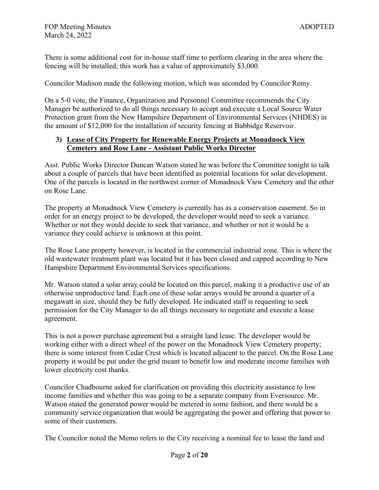There is some additional cost for in-house staff time to perform clearing in the area where the fencing will be installed; this work has a value of approximately \$3,000.

Councilor Madison made the following motion, which was seconded by Councilor Remy.

On a 5-0 vote, the Finance, Organization and Personnel Committee recommends the City Manager be authorized to do all things necessary to accept and execute a Local Source Water Protection grant from the New Hampshire Department of Environmental Services (NHDES) in the amount of \$12,000 for the installation of security fencing at Babbidge Reservoir.

## **3) Lease of City Property for Renewable Energy Projects at Monadnock View Cemetery and Rose Lane - Assistant Public Works Director**

Asst. Public Works Director Duncan Watson stated he was before the Committee tonight to talk about a couple of parcels that have been identified as potential locations for solar development. One of the parcels is located in the northwest corner of Monadnock View Cemetery and the other on Rose Lane.

The property at Monadnock View Cemetery is currently has as a conservation easement. So in order for an energy project to be developed, the developer would need to seek a variance. Whether or not they would decide to seek that variance, and whether or not it would be a variance they could achieve is unknown at this point.

The Rose Lane property however, is located in the commercial industrial zone. This is where the old wastewater treatment plant was located but it has been closed and capped according to New Hampshire Department Environmental Services specifications.

Mr. Watson stated a solar array could be located on this parcel, making it a productive use of an otherwise unproductive land. Each one of these solar arrays would be around a quarter of a megawatt in size, should they be fully developed. He indicated staff is requesting to seek permission for the City Manager to do all things necessary to negotiate and execute a lease agreement.

This is not a power purchase agreement but a straight land lease. The developer would be working either with a direct wheel of the power on the Monadnock View Cemetery property; there is some interest from Cedar Crest which is located adjacent to the parcel. On the Rose Lane property it would be put under the grid meant to benefit low and moderate income families with lower electricity cost thanks.

Councilor Chadbourne asked for clarification on providing this electricity assistance to low income families and whether this was going to be a separate company from Eversource. Mr. Watson stated the generated power would be metered in some fashion, and there would be a community service organization that would be aggregating the power and offering that power to some of their customers.

The Councilor noted the Memo refers to the City receiving a nominal fee to lease the land and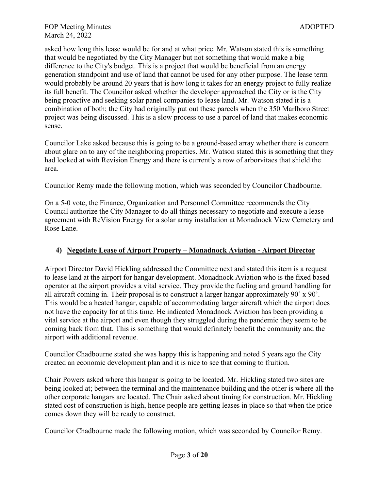asked how long this lease would be for and at what price. Mr. Watson stated this is something that would be negotiated by the City Manager but not something that would make a big difference to the City's budget. This is a project that would be beneficial from an energy generation standpoint and use of land that cannot be used for any other purpose. The lease term would probably be around 20 years that is how long it takes for an energy project to fully realize its full benefit. The Councilor asked whether the developer approached the City or is the City being proactive and seeking solar panel companies to lease land. Mr. Watson stated it is a combination of both; the City had originally put out these parcels when the 350 Marlboro Street project was being discussed. This is a slow process to use a parcel of land that makes economic sense.

Councilor Lake asked because this is going to be a ground-based array whether there is concern about glare on to any of the neighboring properties. Mr. Watson stated this is something that they had looked at with Revision Energy and there is currently a row of arborvitaes that shield the area.

Councilor Remy made the following motion, which was seconded by Councilor Chadbourne.

On a 5-0 vote, the Finance, Organization and Personnel Committee recommends the City Council authorize the City Manager to do all things necessary to negotiate and execute a lease agreement with ReVision Energy for a solar array installation at Monadnock View Cemetery and Rose Lane.

## **4) Negotiate Lease of Airport Property – Monadnock Aviation - Airport Director**

Airport Director David Hickling addressed the Committee next and stated this item is a request to lease land at the airport for hangar development. Monadnock Aviation who is the fixed based operator at the airport provides a vital service. They provide the fueling and ground handling for all aircraft coming in. Their proposal is to construct a larger hangar approximately 90' x 90'. This would be a heated hangar, capable of accommodating larger aircraft which the airport does not have the capacity for at this time. He indicated Monadnock Aviation has been providing a vital service at the airport and even though they struggled during the pandemic they seem to be coming back from that. This is something that would definitely benefit the community and the airport with additional revenue.

Councilor Chadbourne stated she was happy this is happening and noted 5 years ago the City created an economic development plan and it is nice to see that coming to fruition.

Chair Powers asked where this hangar is going to be located. Mr. Hickling stated two sites are being looked at; between the terminal and the maintenance building and the other is where all the other corporate hangars are located. The Chair asked about timing for construction. Mr. Hickling stated cost of construction is high, hence people are getting leases in place so that when the price comes down they will be ready to construct.

Councilor Chadbourne made the following motion, which was seconded by Councilor Remy.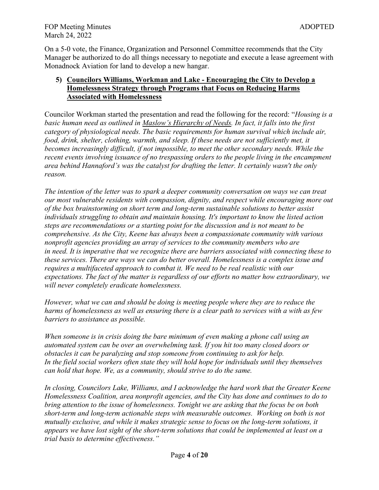On a 5-0 vote, the Finance, Organization and Personnel Committee recommends that the City Manager be authorized to do all things necessary to negotiate and execute a lease agreement with Monadnock Aviation for land to develop a new hangar.

## **5) Councilors Williams, Workman and Lake - Encouraging the City to Develop a Homelessness Strategy through Programs that Focus on Reducing Harms Associated with Homelessness**

Councilor Workman started the presentation and read the following for the record: "*Housing is a basic human need as outlined in Maslow's Hierarchy of Needs. In fact, it falls into the first category of physiological needs. The basic requirements for human survival which include air, food, drink, shelter, clothing, warmth, and sleep. If these needs are not sufficiently met, it becomes increasingly difficult, if not impossible, to meet the other secondary needs. While the recent events involving issuance of no trespassing orders to the people living in the encampment area behind Hannaford's was the catalyst for drafting the letter. It certainly wasn't the only reason.* 

*The intention of the letter was to spark a deeper community conversation on ways we can treat our most vulnerable residents with compassion, dignity, and respect while encouraging more out of the box brainstorming on short term and long-term sustainable solutions to better assist individuals struggling to obtain and maintain housing. It's important to know the listed action steps are recommendations or a starting point for the discussion and is not meant to be comprehensive. As the City, Keene has always been a compassionate community with various nonprofit agencies providing an array of services to the community members who are in need. It is imperative that we recognize there are barriers associated with connecting these to these services. There are ways we can do better overall. Homelessness is a complex issue and requires a multifaceted approach to combat it. We need to be real realistic with our expectations. The fact of the matter is regardless of our efforts no matter how extraordinary, we will never completely eradicate homelessness.*

*However, what we can and should be doing is meeting people where they are to reduce the harms of homelessness as well as ensuring there is a clear path to services with a with as few barriers to assistance as possible.*

*When someone is in crisis doing the bare minimum of even making a phone call using an automated system can be over an overwhelming task. If you hit too many closed doors or obstacles it can be paralyzing and stop someone from continuing to ask for help. In the field social workers often state they will hold hope for individuals until they themselves can hold that hope. We, as a community, should strive to do the same.*

*In closing, Councilors Lake, Williams, and I acknowledge the hard work that the Greater Keene Homelessness Coalition, area nonprofit agencies, and the City has done and continues to do to bring attention to the issue of homelessness. Tonight we are asking that the focus be on both short-term and long-term actionable steps with measurable outcomes. Working on both is not mutually exclusive, and while it makes strategic sense to focus on the long-term solutions, it appears we have lost sight of the short-term solutions that could be implemented at least on a trial basis to determine effectiveness."*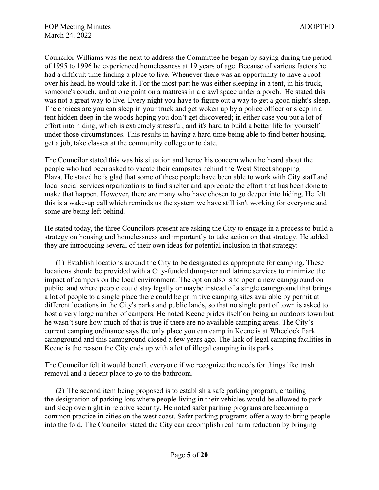Councilor Williams was the next to address the Committee he began by saying during the period of 1995 to 1996 he experienced homelessness at 19 years of age. Because of various factors he had a difficult time finding a place to live. Whenever there was an opportunity to have a roof over his head, he would take it. For the most part he was either sleeping in a tent, in his truck, someone's couch, and at one point on a mattress in a crawl space under a porch. He stated this was not a great way to live. Every night you have to figure out a way to get a good night's sleep. The choices are you can sleep in your truck and get woken up by a police officer or sleep in a tent hidden deep in the woods hoping you don't get discovered; in either case you put a lot of effort into hiding, which is extremely stressful, and it's hard to build a better life for yourself under those circumstances. This results in having a hard time being able to find better housing, get a job, take classes at the community college or to date.

The Councilor stated this was his situation and hence his concern when he heard about the people who had been asked to vacate their campsites behind the West Street shopping Plaza. He stated he is glad that some of these people have been able to work with City staff and local social services organizations to find shelter and appreciate the effort that has been done to make that happen. However, there are many who have chosen to go deeper into hiding. He felt this is a wake-up call which reminds us the system we have still isn't working for everyone and some are being left behind.

He stated today, the three Councilors present are asking the City to engage in a process to build a strategy on housing and homelessness and importantly to take action on that strategy. He added they are introducing several of their own ideas for potential inclusion in that strategy:

(1) Establish locations around the City to be designated as appropriate for camping. These locations should be provided with a City-funded dumpster and latrine services to minimize the impact of campers on the local environment. The option also is to open a new campground on public land where people could stay legally or maybe instead of a single campground that brings a lot of people to a single place there could be primitive camping sites available by permit at different locations in the City's parks and public lands, so that no single part of town is asked to host a very large number of campers. He noted Keene prides itself on being an outdoors town but he wasn't sure how much of that is true if there are no available camping areas. The City's current camping ordinance says the only place you can camp in Keene is at Wheelock Park campground and this campground closed a few years ago. The lack of legal camping facilities in Keene is the reason the City ends up with a lot of illegal camping in its parks.

The Councilor felt it would benefit everyone if we recognize the needs for things like trash removal and a decent place to go to the bathroom.

(2) The second item being proposed is to establish a safe parking program, entailing the designation of parking lots where people living in their vehicles would be allowed to park and sleep overnight in relative security. He noted safer parking programs are becoming a common practice in cities on the west coast. Safer parking programs offer a way to bring people into the fold. The Councilor stated the City can accomplish real harm reduction by bringing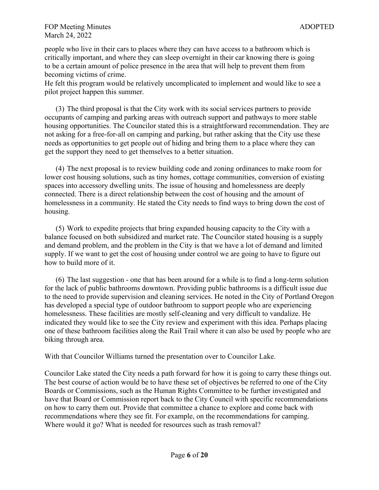people who live in their cars to places where they can have access to a bathroom which is critically important, and where they can sleep overnight in their car knowing there is going to be a certain amount of police presence in the area that will help to prevent them from becoming victims of crime.

He felt this program would be relatively uncomplicated to implement and would like to see a pilot project happen this summer.

(3) The third proposal is that the City work with its social services partners to provide occupants of camping and parking areas with outreach support and pathways to more stable housing opportunities. The Councilor stated this is a straightforward recommendation. They are not asking for a free-for-all on camping and parking, but rather asking that the City use these needs as opportunities to get people out of hiding and bring them to a place where they can get the support they need to get themselves to a better situation.

(4) The next proposal is to review building code and zoning ordinances to make room for lower cost housing solutions, such as tiny homes, cottage communities, conversion of existing spaces into accessory dwelling units. The issue of housing and homelessness are deeply connected. There is a direct relationship between the cost of housing and the amount of homelessness in a community. He stated the City needs to find ways to bring down the cost of housing.

(5) Work to expedite projects that bring expanded housing capacity to the City with a balance focused on both subsidized and market rate. The Councilor stated housing is a supply and demand problem, and the problem in the City is that we have a lot of demand and limited supply. If we want to get the cost of housing under control we are going to have to figure out how to build more of it.

(6) The last suggestion - one that has been around for a while is to find a long-term solution for the lack of public bathrooms downtown. Providing public bathrooms is a difficult issue due to the need to provide supervision and cleaning services. He noted in the City of Portland Oregon has developed a special type of outdoor bathroom to support people who are experiencing homelessness. These facilities are mostly self-cleaning and very difficult to vandalize. He indicated they would like to see the City review and experiment with this idea. Perhaps placing one of these bathroom facilities along the Rail Trail where it can also be used by people who are biking through area.

With that Councilor Williams turned the presentation over to Councilor Lake.

Councilor Lake stated the City needs a path forward for how it is going to carry these things out. The best course of action would be to have these set of objectives be referred to one of the City Boards or Commissions, such as the Human Rights Committee to be further investigated and have that Board or Commission report back to the City Council with specific recommendations on how to carry them out. Provide that committee a chance to explore and come back with recommendations where they see fit. For example, on the recommendations for camping. Where would it go? What is needed for resources such as trash removal?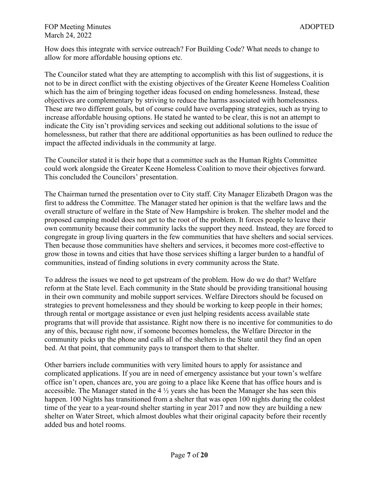How does this integrate with service outreach? For Building Code? What needs to change to allow for more affordable housing options etc.

The Councilor stated what they are attempting to accomplish with this list of suggestions, it is not to be in direct conflict with the existing objectives of the Greater Keene Homeless Coalition which has the aim of bringing together ideas focused on ending homelessness. Instead, these objectives are complementary by striving to reduce the harms associated with homelessness. These are two different goals, but of course could have overlapping strategies, such as trying to increase affordable housing options. He stated he wanted to be clear, this is not an attempt to indicate the City isn't providing services and seeking out additional solutions to the issue of homelessness, but rather that there are additional opportunities as has been outlined to reduce the impact the affected individuals in the community at large.

The Councilor stated it is their hope that a committee such as the Human Rights Committee could work alongside the Greater Keene Homeless Coalition to move their objectives forward. This concluded the Councilors' presentation.

The Chairman turned the presentation over to City staff. City Manager Elizabeth Dragon was the first to address the Committee. The Manager stated her opinion is that the welfare laws and the overall structure of welfare in the State of New Hampshire is broken. The shelter model and the proposed camping model does not get to the root of the problem. It forces people to leave their own community because their community lacks the support they need. Instead, they are forced to congregate in group living quarters in the few communities that have shelters and social services. Then because those communities have shelters and services, it becomes more cost-effective to grow those in towns and cities that have those services shifting a larger burden to a handful of communities, instead of finding solutions in every community across the State.

To address the issues we need to get upstream of the problem. How do we do that? Welfare reform at the State level. Each community in the State should be providing transitional housing in their own community and mobile support services. Welfare Directors should be focused on strategies to prevent homelessness and they should be working to keep people in their homes; through rental or mortgage assistance or even just helping residents access available state programs that will provide that assistance. Right now there is no incentive for communities to do any of this, because right now, if someone becomes homeless, the Welfare Director in the community picks up the phone and calls all of the shelters in the State until they find an open bed. At that point, that community pays to transport them to that shelter.

Other barriers include communities with very limited hours to apply for assistance and complicated applications. If you are in need of emergency assistance but your town's welfare office isn't open, chances are, you are going to a place like Keene that has office hours and is accessible. The Manager stated in the  $4\frac{1}{2}$  years she has been the Manager she has seen this happen. 100 Nights has transitioned from a shelter that was open 100 nights during the coldest time of the year to a year-round shelter starting in year 2017 and now they are building a new shelter on Water Street, which almost doubles what their original capacity before their recently added bus and hotel rooms.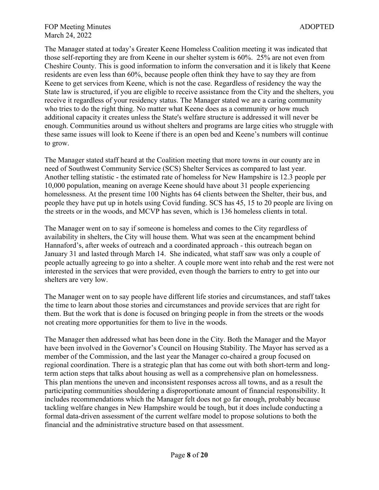The Manager stated at today's Greater Keene Homeless Coalition meeting it was indicated that those self-reporting they are from Keene in our shelter system is 60%. 25% are not even from Cheshire County. This is good information to inform the conversation and it is likely that Keene residents are even less than 60%, because people often think they have to say they are from Keene to get services from Keene, which is not the case. Regardless of residency the way the State law is structured, if you are eligible to receive assistance from the City and the shelters, you receive it regardless of your residency status. The Manager stated we are a caring community who tries to do the right thing. No matter what Keene does as a community or how much additional capacity it creates unless the State's welfare structure is addressed it will never be enough. Communities around us without shelters and programs are large cities who struggle with these same issues will look to Keene if there is an open bed and Keene's numbers will continue to grow.

The Manager stated staff heard at the Coalition meeting that more towns in our county are in need of Southwest Community Service (SCS) Shelter Services as compared to last year. Another telling statistic - the estimated rate of homeless for New Hampshire is 12.3 people per 10,000 population, meaning on average Keene should have about 31 people experiencing homelessness. At the present time 100 Nights has 64 clients between the Shelter, their bus, and people they have put up in hotels using Covid funding. SCS has 45, 15 to 20 people are living on the streets or in the woods, and MCVP has seven, which is 136 homeless clients in total.

The Manager went on to say if someone is homeless and comes to the City regardless of availability in shelters, the City will house them. What was seen at the encampment behind Hannaford's, after weeks of outreach and a coordinated approach - this outreach began on January 31 and lasted through March 14. She indicated, what staff saw was only a couple of people actually agreeing to go into a shelter. A couple more went into rehab and the rest were not interested in the services that were provided, even though the barriers to entry to get into our shelters are very low.

The Manager went on to say people have different life stories and circumstances, and staff takes the time to learn about those stories and circumstances and provide services that are right for them. But the work that is done is focused on bringing people in from the streets or the woods not creating more opportunities for them to live in the woods.

The Manager then addressed what has been done in the City. Both the Manager and the Mayor have been involved in the Governor's Council on Housing Stability. The Mayor has served as a member of the Commission, and the last year the Manager co-chaired a group focused on regional coordination. There is a strategic plan that has come out with both short-term and longterm action steps that talks about housing as well as a comprehensive plan on homelessness. This plan mentions the uneven and inconsistent responses across all towns, and as a result the participating communities shouldering a disproportionate amount of financial responsibility. It includes recommendations which the Manager felt does not go far enough, probably because tackling welfare changes in New Hampshire would be tough, but it does include conducting a formal data-driven assessment of the current welfare model to propose solutions to both the financial and the administrative structure based on that assessment.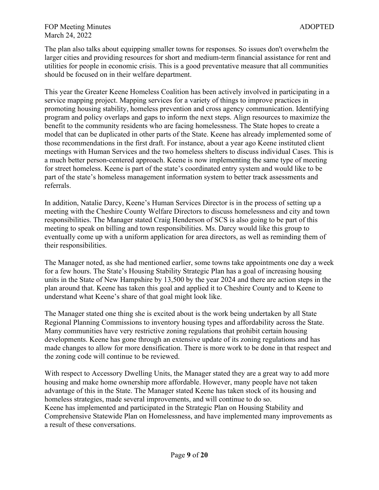### FOP Meeting Minutes and the state of the state of the state and the state and the state and the state and the state and the state and the state and the state and the state and the state and the state and the state and the March 24, 2022

The plan also talks about equipping smaller towns for responses. So issues don't overwhelm the larger cities and providing resources for short and medium-term financial assistance for rent and utilities for people in economic crisis. This is a good preventative measure that all communities should be focused on in their welfare department.

This year the Greater Keene Homeless Coalition has been actively involved in participating in a service mapping project. Mapping services for a variety of things to improve practices in promoting housing stability, homeless prevention and cross agency communication. Identifying program and policy overlaps and gaps to inform the next steps. Align resources to maximize the benefit to the community residents who are facing homelessness. The State hopes to create a model that can be duplicated in other parts of the State. Keene has already implemented some of those recommendations in the first draft. For instance, about a year ago Keene instituted client meetings with Human Services and the two homeless shelters to discuss individual Cases. This is a much better person-centered approach. Keene is now implementing the same type of meeting for street homeless. Keene is part of the state's coordinated entry system and would like to be part of the state's homeless management information system to better track assessments and referrals.

In addition, Natalie Darcy, Keene's Human Services Director is in the process of setting up a meeting with the Cheshire County Welfare Directors to discuss homelessness and city and town responsibilities. The Manager stated Craig Henderson of SCS is also going to be part of this meeting to speak on billing and town responsibilities. Ms. Darcy would like this group to eventually come up with a uniform application for area directors, as well as reminding them of their responsibilities.

The Manager noted, as she had mentioned earlier, some towns take appointments one day a week for a few hours. The State's Housing Stability Strategic Plan has a goal of increasing housing units in the State of New Hampshire by 13,500 by the year 2024 and there are action steps in the plan around that. Keene has taken this goal and applied it to Cheshire County and to Keene to understand what Keene's share of that goal might look like.

The Manager stated one thing she is excited about is the work being undertaken by all State Regional Planning Commissions to inventory housing types and affordability across the State. Many communities have very restrictive zoning regulations that prohibit certain housing developments. Keene has gone through an extensive update of its zoning regulations and has made changes to allow for more densification. There is more work to be done in that respect and the zoning code will continue to be reviewed.

With respect to Accessory Dwelling Units, the Manager stated they are a great way to add more housing and make home ownership more affordable. However, many people have not taken advantage of this in the State. The Manager stated Keene has taken stock of its housing and homeless strategies, made several improvements, and will continue to do so. Keene has implemented and participated in the Strategic Plan on Housing Stability and Comprehensive Statewide Plan on Homelessness, and have implemented many improvements as a result of these conversations.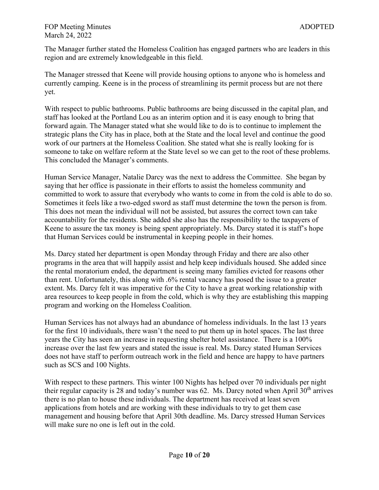The Manager further stated the Homeless Coalition has engaged partners who are leaders in this region and are extremely knowledgeable in this field.

The Manager stressed that Keene will provide housing options to anyone who is homeless and currently camping. Keene is in the process of streamlining its permit process but are not there yet.

With respect to public bathrooms. Public bathrooms are being discussed in the capital plan, and staff has looked at the Portland Lou as an interim option and it is easy enough to bring that forward again. The Manager stated what she would like to do is to continue to implement the strategic plans the City has in place, both at the State and the local level and continue the good work of our partners at the Homeless Coalition. She stated what she is really looking for is someone to take on welfare reform at the State level so we can get to the root of these problems. This concluded the Manager's comments.

Human Service Manager, Natalie Darcy was the next to address the Committee. She began by saying that her office is passionate in their efforts to assist the homeless community and committed to work to assure that everybody who wants to come in from the cold is able to do so. Sometimes it feels like a two-edged sword as staff must determine the town the person is from. This does not mean the individual will not be assisted, but assures the correct town can take accountability for the residents. She added she also has the responsibility to the taxpayers of Keene to assure the tax money is being spent appropriately. Ms. Darcy stated it is staff's hope that Human Services could be instrumental in keeping people in their homes.

Ms. Darcy stated her department is open Monday through Friday and there are also other programs in the area that will happily assist and help keep individuals housed. She added since the rental moratorium ended, the department is seeing many families evicted for reasons other than rent. Unfortunately, this along with .6% rental vacancy has posed the issue to a greater extent. Ms. Darcy felt it was imperative for the City to have a great working relationship with area resources to keep people in from the cold, which is why they are establishing this mapping program and working on the Homeless Coalition.

Human Services has not always had an abundance of homeless individuals. In the last 13 years for the first 10 individuals, there wasn't the need to put them up in hotel spaces. The last three years the City has seen an increase in requesting shelter hotel assistance. There is a 100% increase over the last few years and stated the issue is real. Ms. Darcy stated Human Services does not have staff to perform outreach work in the field and hence are happy to have partners such as SCS and 100 Nights.

With respect to these partners. This winter 100 Nights has helped over 70 individuals per night their regular capacity is 28 and today's number was 62. Ms. Darcy noted when April  $30<sup>th</sup>$  arrives there is no plan to house these individuals. The department has received at least seven applications from hotels and are working with these individuals to try to get them case management and housing before that April 30th deadline. Ms. Darcy stressed Human Services will make sure no one is left out in the cold.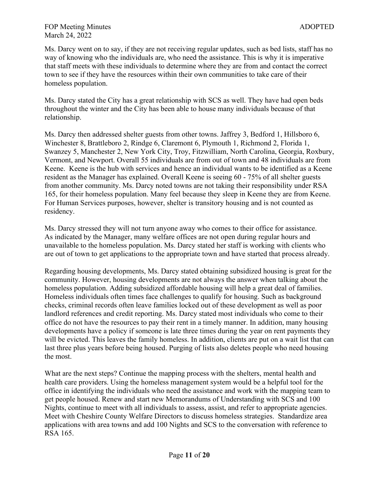Ms. Darcy went on to say, if they are not receiving regular updates, such as bed lists, staff has no way of knowing who the individuals are, who need the assistance. This is why it is imperative that staff meets with these individuals to determine where they are from and contact the correct town to see if they have the resources within their own communities to take care of their homeless population.

Ms. Darcy stated the City has a great relationship with SCS as well. They have had open beds throughout the winter and the City has been able to house many individuals because of that relationship.

Ms. Darcy then addressed shelter guests from other towns. Jaffrey 3, Bedford 1, Hillsboro 6, Winchester 8, Brattleboro 2, Rindge 6, Claremont 6, Plymouth 1, Richmond 2, Florida 1, Swanzey 5, Manchester 2, New York City, Troy, Fitzwilliam, North Carolina, Georgia, Roxbury, Vermont, and Newport. Overall 55 individuals are from out of town and 48 individuals are from Keene. Keene is the hub with services and hence an individual wants to be identified as a Keene resident as the Manager has explained. Overall Keene is seeing 60 - 75% of all shelter guests from another community. Ms. Darcy noted towns are not taking their responsibility under RSA 165, for their homeless population. Many feel because they sleep in Keene they are from Keene. For Human Services purposes, however, shelter is transitory housing and is not counted as residency.

Ms. Darcy stressed they will not turn anyone away who comes to their office for assistance. As indicated by the Manager, many welfare offices are not open during regular hours and unavailable to the homeless population. Ms. Darcy stated her staff is working with clients who are out of town to get applications to the appropriate town and have started that process already.

Regarding housing developments, Ms. Darcy stated obtaining subsidized housing is great for the community. However, housing developments are not always the answer when talking about the homeless population. Adding subsidized affordable housing will help a great deal of families. Homeless individuals often times face challenges to qualify for housing. Such as background checks, criminal records often leave families locked out of these development as well as poor landlord references and credit reporting. Ms. Darcy stated most individuals who come to their office do not have the resources to pay their rent in a timely manner. In addition, many housing developments have a policy if someone is late three times during the year on rent payments they will be evicted. This leaves the family homeless. In addition, clients are put on a wait list that can last three plus years before being housed. Purging of lists also deletes people who need housing the most.

What are the next steps? Continue the mapping process with the shelters, mental health and health care providers. Using the homeless management system would be a helpful tool for the office in identifying the individuals who need the assistance and work with the mapping team to get people housed. Renew and start new Memorandums of Understanding with SCS and 100 Nights, continue to meet with all individuals to assess, assist, and refer to appropriate agencies. Meet with Cheshire County Welfare Directors to discuss homeless strategies. Standardize area applications with area towns and add 100 Nights and SCS to the conversation with reference to RSA 165.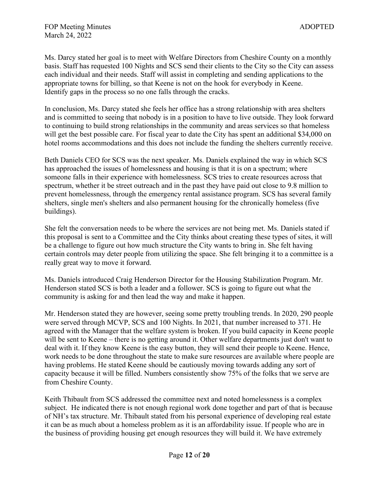Ms. Darcy stated her goal is to meet with Welfare Directors from Cheshire County on a monthly basis. Staff has requested 100 Nights and SCS send their clients to the City so the City can assess each individual and their needs. Staff will assist in completing and sending applications to the appropriate towns for billing, so that Keene is not on the hook for everybody in Keene. Identify gaps in the process so no one falls through the cracks.

In conclusion, Ms. Darcy stated she feels her office has a strong relationship with area shelters and is committed to seeing that nobody is in a position to have to live outside. They look forward to continuing to build strong relationships in the community and areas services so that homeless will get the best possible care. For fiscal year to date the City has spent an additional \$34,000 on hotel rooms accommodations and this does not include the funding the shelters currently receive.

Beth Daniels CEO for SCS was the next speaker. Ms. Daniels explained the way in which SCS has approached the issues of homelessness and housing is that it is on a spectrum; where someone falls in their experience with homelessness. SCS tries to create resources across that spectrum, whether it be street outreach and in the past they have paid out close to 9.8 million to prevent homelessness, through the emergency rental assistance program. SCS has several family shelters, single men's shelters and also permanent housing for the chronically homeless (five buildings).

She felt the conversation needs to be where the services are not being met. Ms. Daniels stated if this proposal is sent to a Committee and the City thinks about creating these types of sites, it will be a challenge to figure out how much structure the City wants to bring in. She felt having certain controls may deter people from utilizing the space. She felt bringing it to a committee is a really great way to move it forward.

Ms. Daniels introduced Craig Henderson Director for the Housing Stabilization Program. Mr. Henderson stated SCS is both a leader and a follower. SCS is going to figure out what the community is asking for and then lead the way and make it happen.

Mr. Henderson stated they are however, seeing some pretty troubling trends. In 2020, 290 people were served through MCVP, SCS and 100 Nights. In 2021, that number increased to 371. He agreed with the Manager that the welfare system is broken. If you build capacity in Keene people will be sent to Keene – there is no getting around it. Other welfare departments just don't want to deal with it. If they know Keene is the easy button, they will send their people to Keene. Hence, work needs to be done throughout the state to make sure resources are available where people are having problems. He stated Keene should be cautiously moving towards adding any sort of capacity because it will be filled. Numbers consistently show 75% of the folks that we serve are from Cheshire County.

Keith Thibault from SCS addressed the committee next and noted homelessness is a complex subject. He indicated there is not enough regional work done together and part of that is because of NH's tax structure. Mr. Thibault stated from his personal experience of developing real estate it can be as much about a homeless problem as it is an affordability issue. If people who are in the business of providing housing get enough resources they will build it. We have extremely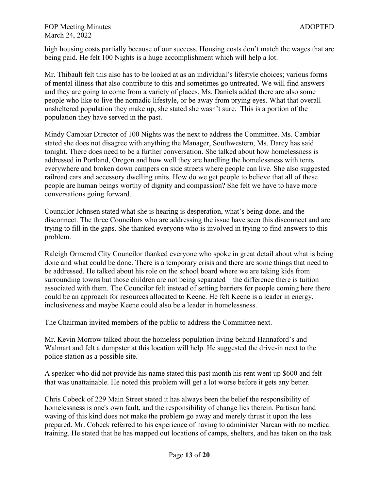high housing costs partially because of our success. Housing costs don't match the wages that are being paid. He felt 100 Nights is a huge accomplishment which will help a lot.

Mr. Thibault felt this also has to be looked at as an individual's lifestyle choices; various forms of mental illness that also contribute to this and sometimes go untreated. We will find answers and they are going to come from a variety of places. Ms. Daniels added there are also some people who like to live the nomadic lifestyle, or be away from prying eyes. What that overall unsheltered population they make up, she stated she wasn't sure. This is a portion of the population they have served in the past.

Mindy Cambiar Director of 100 Nights was the next to address the Committee. Ms. Cambiar stated she does not disagree with anything the Manager, Southwestern, Ms. Darcy has said tonight. There does need to be a further conversation. She talked about how homelessness is addressed in Portland, Oregon and how well they are handling the homelessness with tents everywhere and broken down campers on side streets where people can live. She also suggested railroad cars and accessory dwelling units. How do we get people to believe that all of these people are human beings worthy of dignity and compassion? She felt we have to have more conversations going forward.

Councilor Johnsen stated what she is hearing is desperation, what's being done, and the disconnect. The three Councilors who are addressing the issue have seen this disconnect and are trying to fill in the gaps. She thanked everyone who is involved in trying to find answers to this problem.

Raleigh Ormerod City Councilor thanked everyone who spoke in great detail about what is being done and what could be done. There is a temporary crisis and there are some things that need to be addressed. He talked about his role on the school board where we are taking kids from surrounding towns but those children are not being separated – the difference there is tuition associated with them. The Councilor felt instead of setting barriers for people coming here there could be an approach for resources allocated to Keene. He felt Keene is a leader in energy, inclusiveness and maybe Keene could also be a leader in homelessness.

The Chairman invited members of the public to address the Committee next.

Mr. Kevin Morrow talked about the homeless population living behind Hannaford's and Walmart and felt a dumpster at this location will help. He suggested the drive-in next to the police station as a possible site.

A speaker who did not provide his name stated this past month his rent went up \$600 and felt that was unattainable. He noted this problem will get a lot worse before it gets any better.

Chris Cobeck of 229 Main Street stated it has always been the belief the responsibility of homelessness is one's own fault, and the responsibility of change lies therein. Partisan hand waving of this kind does not make the problem go away and merely thrust it upon the less prepared. Mr. Cobeck referred to his experience of having to administer Narcan with no medical training. He stated that he has mapped out locations of camps, shelters, and has taken on the task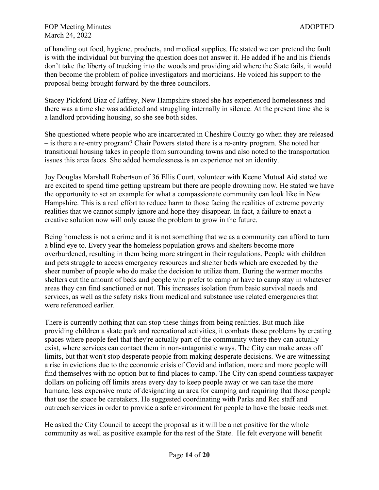of handing out food, hygiene, products, and medical supplies. He stated we can pretend the fault is with the individual but burying the question does not answer it. He added if he and his friends don't take the liberty of trucking into the woods and providing aid where the State fails, it would then become the problem of police investigators and morticians. He voiced his support to the proposal being brought forward by the three councilors.

Stacey Pickford Biaz of Jaffrey, New Hampshire stated she has experienced homelessness and there was a time she was addicted and struggling internally in silence. At the present time she is a landlord providing housing, so she see both sides.

She questioned where people who are incarcerated in Cheshire County go when they are released – is there a re-entry program? Chair Powers stated there is a re-entry program. She noted her transitional housing takes in people from surrounding towns and also noted to the transportation issues this area faces. She added homelessness is an experience not an identity.

Joy Douglas Marshall Robertson of 36 Ellis Court, volunteer with Keene Mutual Aid stated we are excited to spend time getting upstream but there are people drowning now. He stated we have the opportunity to set an example for what a compassionate community can look like in New Hampshire. This is a real effort to reduce harm to those facing the realities of extreme poverty realities that we cannot simply ignore and hope they disappear. In fact, a failure to enact a creative solution now will only cause the problem to grow in the future.

Being homeless is not a crime and it is not something that we as a community can afford to turn a blind eye to. Every year the homeless population grows and shelters become more overburdened, resulting in them being more stringent in their regulations. People with children and pets struggle to access emergency resources and shelter beds which are exceeded by the sheer number of people who do make the decision to utilize them. During the warmer months shelters cut the amount of beds and people who prefer to camp or have to camp stay in whatever areas they can find sanctioned or not. This increases isolation from basic survival needs and services, as well as the safety risks from medical and substance use related emergencies that were referenced earlier.

There is currently nothing that can stop these things from being realities. But much like providing children a skate park and recreational activities, it combats those problems by creating spaces where people feel that they're actually part of the community where they can actually exist, where services can contact them in non-antagonistic ways. The City can make areas off limits, but that won't stop desperate people from making desperate decisions. We are witnessing a rise in evictions due to the economic crisis of Covid and inflation, more and more people will find themselves with no option but to find places to camp. The City can spend countless taxpayer dollars on policing off limits areas every day to keep people away or we can take the more humane, less expensive route of designating an area for camping and requiring that those people that use the space be caretakers. He suggested coordinating with Parks and Rec staff and outreach services in order to provide a safe environment for people to have the basic needs met.

He asked the City Council to accept the proposal as it will be a net positive for the whole community as well as positive example for the rest of the State. He felt everyone will benefit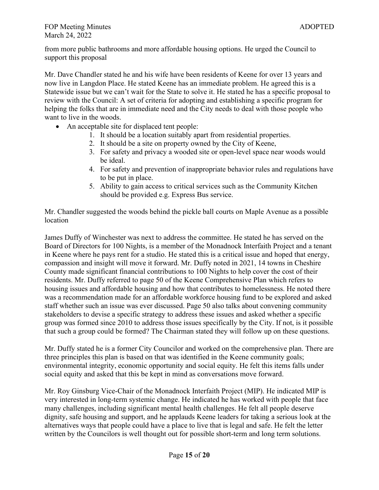### FOP Meeting Minutes ADOPTED March 24, 2022

from more public bathrooms and more affordable housing options. He urged the Council to support this proposal

Mr. Dave Chandler stated he and his wife have been residents of Keene for over 13 years and now live in Langdon Place. He stated Keene has an immediate problem. He agreed this is a Statewide issue but we can't wait for the State to solve it. He stated he has a specific proposal to review with the Council: A set of criteria for adopting and establishing a specific program for helping the folks that are in immediate need and the City needs to deal with those people who want to live in the woods.

- An acceptable site for displaced tent people:
	- 1. It should be a location suitably apart from residential properties.
	- 2. It should be a site on property owned by the City of Keene,
	- 3. For safety and privacy a wooded site or open-level space near woods would be ideal.
	- 4. For safety and prevention of inappropriate behavior rules and regulations have to be put in place.
	- 5. Ability to gain access to critical services such as the Community Kitchen should be provided e.g. Express Bus service.

Mr. Chandler suggested the woods behind the pickle ball courts on Maple Avenue as a possible location

James Duffy of Winchester was next to address the committee. He stated he has served on the Board of Directors for 100 Nights, is a member of the Monadnock Interfaith Project and a tenant in Keene where he pays rent for a studio. He stated this is a critical issue and hoped that energy, compassion and insight will move it forward. Mr. Duffy noted in 2021, 14 towns in Cheshire County made significant financial contributions to 100 Nights to help cover the cost of their residents. Mr. Duffy referred to page 50 of the Keene Comprehensive Plan which refers to housing issues and affordable housing and how that contributes to homelessness. He noted there was a recommendation made for an affordable workforce housing fund to be explored and asked staff whether such an issue was ever discussed. Page 50 also talks about convening community stakeholders to devise a specific strategy to address these issues and asked whether a specific group was formed since 2010 to address those issues specifically by the City. If not, is it possible that such a group could be formed? The Chairman stated they will follow up on these questions.

Mr. Duffy stated he is a former City Councilor and worked on the comprehensive plan. There are three principles this plan is based on that was identified in the Keene community goals; environmental integrity, economic opportunity and social equity. He felt this items falls under social equity and asked that this be kept in mind as conversations move forward.

Mr. Roy Ginsburg Vice-Chair of the Monadnock Interfaith Project (MIP). He indicated MIP is very interested in long-term systemic change. He indicated he has worked with people that face many challenges, including significant mental health challenges. He felt all people deserve dignity, safe housing and support, and he applauds Keene leaders for taking a serious look at the alternatives ways that people could have a place to live that is legal and safe. He felt the letter written by the Councilors is well thought out for possible short-term and long term solutions.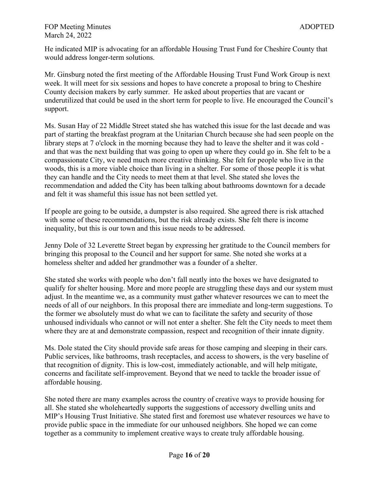He indicated MIP is advocating for an affordable Housing Trust Fund for Cheshire County that would address longer-term solutions.

Mr. Ginsburg noted the first meeting of the Affordable Housing Trust Fund Work Group is next week. It will meet for six sessions and hopes to have concrete a proposal to bring to Cheshire County decision makers by early summer. He asked about properties that are vacant or underutilized that could be used in the short term for people to live. He encouraged the Council's support.

Ms. Susan Hay of 22 Middle Street stated she has watched this issue for the last decade and was part of starting the breakfast program at the Unitarian Church because she had seen people on the library steps at 7 o'clock in the morning because they had to leave the shelter and it was cold and that was the next building that was going to open up where they could go in. She felt to be a compassionate City, we need much more creative thinking. She felt for people who live in the woods, this is a more viable choice than living in a shelter. For some of those people it is what they can handle and the City needs to meet them at that level. She stated she loves the recommendation and added the City has been talking about bathrooms downtown for a decade and felt it was shameful this issue has not been settled yet.

If people are going to be outside, a dumpster is also required. She agreed there is risk attached with some of these recommendations, but the risk already exists. She felt there is income inequality, but this is our town and this issue needs to be addressed.

Jenny Dole of 32 Leverette Street began by expressing her gratitude to the Council members for bringing this proposal to the Council and her support for same. She noted she works at a homeless shelter and added her grandmother was a founder of a shelter.

She stated she works with people who don't fall neatly into the boxes we have designated to qualify for shelter housing. More and more people are struggling these days and our system must adjust. In the meantime we, as a community must gather whatever resources we can to meet the needs of all of our neighbors. In this proposal there are immediate and long-term suggestions. To the former we absolutely must do what we can to facilitate the safety and security of those unhoused individuals who cannot or will not enter a shelter. She felt the City needs to meet them where they are at and demonstrate compassion, respect and recognition of their innate dignity.

Ms. Dole stated the City should provide safe areas for those camping and sleeping in their cars. Public services, like bathrooms, trash receptacles, and access to showers, is the very baseline of that recognition of dignity. This is low-cost, immediately actionable, and will help mitigate, concerns and facilitate self-improvement. Beyond that we need to tackle the broader issue of affordable housing.

She noted there are many examples across the country of creative ways to provide housing for all. She stated she wholeheartedly supports the suggestions of accessory dwelling units and MIP's Housing Trust Initiative. She stated first and foremost use whatever resources we have to provide public space in the immediate for our unhoused neighbors. She hoped we can come together as a community to implement creative ways to create truly affordable housing.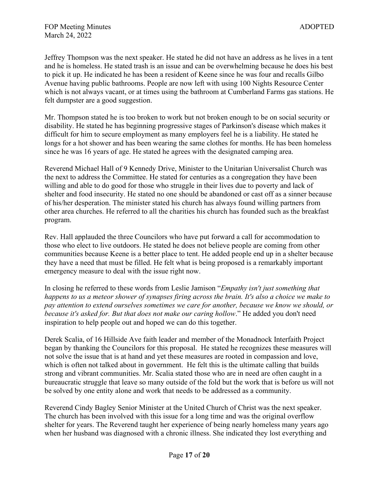Jeffrey Thompson was the next speaker. He stated he did not have an address as he lives in a tent and he is homeless. He stated trash is an issue and can be overwhelming because he does his best to pick it up. He indicated he has been a resident of Keene since he was four and recalls Gilbo Avenue having public bathrooms. People are now left with using 100 Nights Resource Center which is not always vacant, or at times using the bathroom at Cumberland Farms gas stations. He felt dumpster are a good suggestion.

Mr. Thompson stated he is too broken to work but not broken enough to be on social security or disability. He stated he has beginning progressive stages of Parkinson's disease which makes it difficult for him to secure employment as many employers feel he is a liability. He stated he longs for a hot shower and has been wearing the same clothes for months. He has been homeless since he was 16 years of age. He stated he agrees with the designated camping area.

Reverend Michael Hall of 9 Kennedy Drive, Minister to the Unitarian Universalist Church was the next to address the Committee. He stated for centuries as a congregation they have been willing and able to do good for those who struggle in their lives due to poverty and lack of shelter and food insecurity. He stated no one should be abandoned or cast off as a sinner because of his/her desperation. The minister stated his church has always found willing partners from other area churches. He referred to all the charities his church has founded such as the breakfast program.

Rev. Hall applauded the three Councilors who have put forward a call for accommodation to those who elect to live outdoors. He stated he does not believe people are coming from other communities because Keene is a better place to tent. He added people end up in a shelter because they have a need that must be filled. He felt what is being proposed is a remarkably important emergency measure to deal with the issue right now.

In closing he referred to these words from Leslie Jamison "*Empathy isn't just something that happens to us a meteor shower of synapses firing across the brain. It's also a choice we make to pay attention to extend ourselves sometimes we care for another, because we know we should, or because it's asked for. But that does not make our caring hollow*." He added you don't need inspiration to help people out and hoped we can do this together.

Derek Scalia, of 16 Hillside Ave faith leader and member of the Monadnock Interfaith Project began by thanking the Councilors for this proposal. He stated he recognizes these measures will not solve the issue that is at hand and yet these measures are rooted in compassion and love, which is often not talked about in government. He felt this is the ultimate calling that builds strong and vibrant communities. Mr. Scalia stated those who are in need are often caught in a bureaucratic struggle that leave so many outside of the fold but the work that is before us will not be solved by one entity alone and work that needs to be addressed as a community.

Reverend Cindy Bagley Senior Minister at the United Church of Christ was the next speaker. The church has been involved with this issue for a long time and was the original overflow shelter for years. The Reverend taught her experience of being nearly homeless many years ago when her husband was diagnosed with a chronic illness. She indicated they lost everything and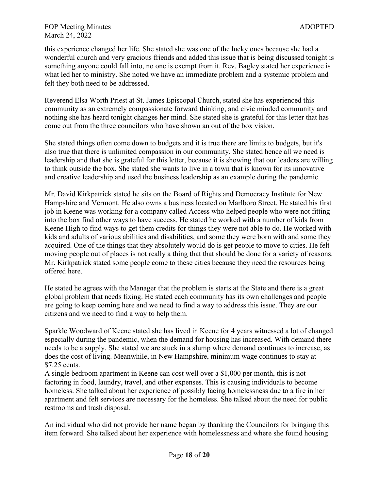this experience changed her life. She stated she was one of the lucky ones because she had a wonderful church and very gracious friends and added this issue that is being discussed tonight is something anyone could fall into, no one is exempt from it. Rev. Bagley stated her experience is what led her to ministry. She noted we have an immediate problem and a systemic problem and felt they both need to be addressed.

Reverend Elsa Worth Priest at St. James Episcopal Church, stated she has experienced this community as an extremely compassionate forward thinking, and civic minded community and nothing she has heard tonight changes her mind. She stated she is grateful for this letter that has come out from the three councilors who have shown an out of the box vision.

She stated things often come down to budgets and it is true there are limits to budgets, but it's also true that there is unlimited compassion in our community. She stated hence all we need is leadership and that she is grateful for this letter, because it is showing that our leaders are willing to think outside the box. She stated she wants to live in a town that is known for its innovative and creative leadership and used the business leadership as an example during the pandemic.

Mr. David Kirkpatrick stated he sits on the Board of Rights and Democracy Institute for New Hampshire and Vermont. He also owns a business located on Marlboro Street. He stated his first job in Keene was working for a company called Access who helped people who were not fitting into the box find other ways to have success. He stated he worked with a number of kids from Keene High to find ways to get them credits for things they were not able to do. He worked with kids and adults of various abilities and disabilities, and some they were born with and some they acquired. One of the things that they absolutely would do is get people to move to cities. He felt moving people out of places is not really a thing that that should be done for a variety of reasons. Mr. Kirkpatrick stated some people come to these cities because they need the resources being offered here.

He stated he agrees with the Manager that the problem is starts at the State and there is a great global problem that needs fixing. He stated each community has its own challenges and people are going to keep coming here and we need to find a way to address this issue. They are our citizens and we need to find a way to help them.

Sparkle Woodward of Keene stated she has lived in Keene for 4 years witnessed a lot of changed especially during the pandemic, when the demand for housing has increased. With demand there needs to be a supply. She stated we are stuck in a slump where demand continues to increase, as does the cost of living. Meanwhile, in New Hampshire, minimum wage continues to stay at \$7.25 cents.

A single bedroom apartment in Keene can cost well over a \$1,000 per month, this is not factoring in food, laundry, travel, and other expenses. This is causing individuals to become homeless. She talked about her experience of possibly facing homelessness due to a fire in her apartment and felt services are necessary for the homeless. She talked about the need for public restrooms and trash disposal.

An individual who did not provide her name began by thanking the Councilors for bringing this item forward. She talked about her experience with homelessness and where she found housing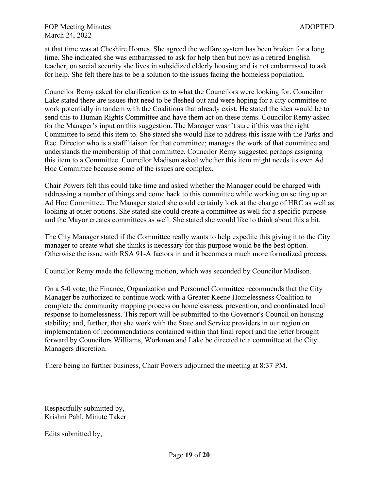at that time was at Cheshire Homes. She agreed the welfare system has been broken for a long time. She indicated she was embarrassed to ask for help then but now as a retired English teacher, on social security she lives in subsidized elderly housing and is not embarrassed to ask for help. She felt there has to be a solution to the issues facing the homeless population.

Councilor Remy asked for clarification as to what the Councilors were looking for. Councilor Lake stated there are issues that need to be fleshed out and were hoping for a city committee to work potentially in tandem with the Coalitions that already exist. He stated the idea would be to send this to Human Rights Committee and have them act on these items. Councilor Remy asked for the Manager's input on this suggestion. The Manager wasn't sure if this was the right Committee to send this item to. She stated she would like to address this issue with the Parks and Rec. Director who is a staff liaison for that committee; manages the work of that committee and understands the membership of that committee. Councilor Remy suggested perhaps assigning this item to a Committee. Councilor Madison asked whether this item might needs its own Ad Hoc Committee because some of the issues are complex.

Chair Powers felt this could take time and asked whether the Manager could be charged with addressing a number of things and come back to this committee while working on setting up an Ad Hoc Committee. The Manager stated she could certainly look at the charge of HRC as well as looking at other options. She stated she could create a committee as well for a specific purpose and the Mayor creates committees as well. She stated she would like to think about this a bit.

The City Manager stated if the Committee really wants to help expedite this giving it to the City manager to create what she thinks is necessary for this purpose would be the best option. Otherwise the issue with RSA 91-A factors in and it becomes a much more formalized process.

Councilor Remy made the following motion, which was seconded by Councilor Madison.

On a 5-0 vote, the Finance, Organization and Personnel Committee recommends that the City Manager be authorized to continue work with a Greater Keene Homelessness Coalition to complete the community mapping process on homelessness, prevention, and coordinated local response to homelessness. This report will be submitted to the Governor's Council on housing stability; and, further, that she work with the State and Service providers in our region on implementation of recommendations contained within that final report and the letter brought forward by Councilors Williams, Workman and Lake be directed to a committee at the City Managers discretion.

There being no further business, Chair Powers adjourned the meeting at 8:37 PM.

Respectfully submitted by, Krishni Pahl, Minute Taker

Edits submitted by,